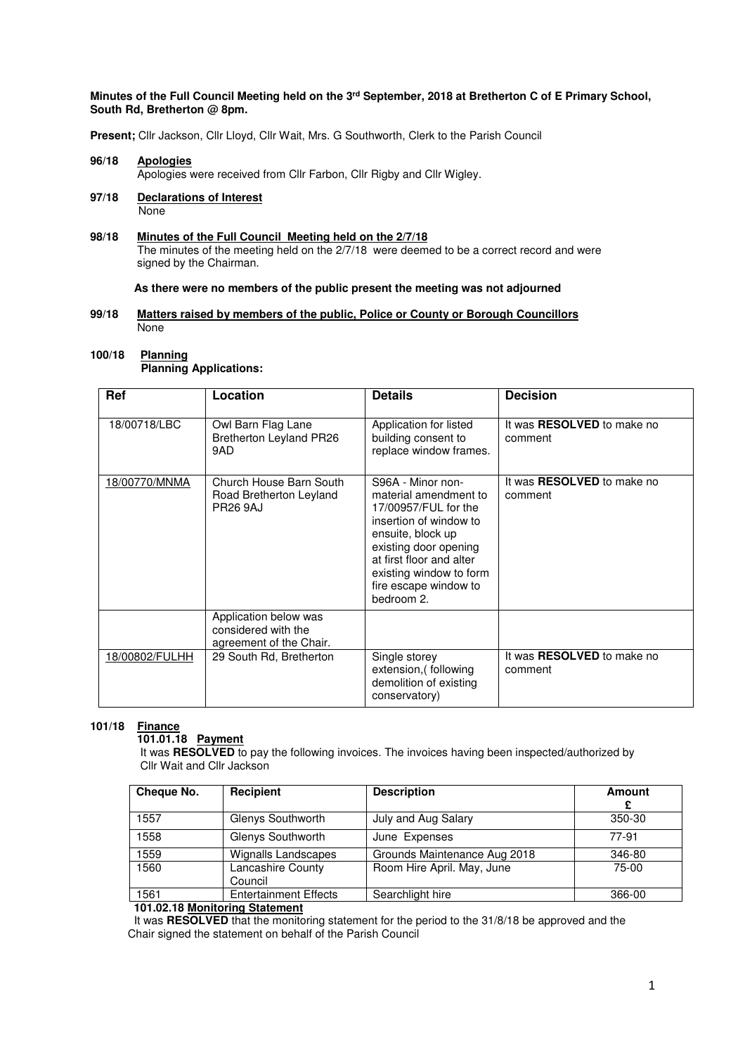#### **Minutes of the Full Council Meeting held on the 3rd September, 2018 at Bretherton C of E Primary School, South Rd, Bretherton @ 8pm.**

**Present;** Cllr Jackson, Cllr Lloyd, Cllr Wait, Mrs. G Southworth, Clerk to the Parish Council

# **96/18 Apologies** Apologies were received from Cllr Farbon, Cllr Rigby and Cllr Wigley.

**97/18 Declarations of Interest None** 

#### 98/18 **98/18 Minutes of the Full Council Meeting held on the 2/7/18**  The minutes of the meeting held on the 2/7/18 were deemed to be a correct record and were signed by the Chairman.

#### **As there were no members of the public present the meeting was not adjourned**

### **99/18 Matters raised by members of the public, Police or County or Borough Councillors**  None

#### **100/18 Planning Planning Applications:**

| Ref            | Location                                                                | <b>Details</b>                                                                                                                                                                                                                           | <b>Decision</b>                              |
|----------------|-------------------------------------------------------------------------|------------------------------------------------------------------------------------------------------------------------------------------------------------------------------------------------------------------------------------------|----------------------------------------------|
| 18/00718/LBC   | Owl Barn Flag Lane<br>Bretherton Leyland PR26<br>9AD                    | Application for listed<br>building consent to<br>replace window frames.                                                                                                                                                                  | It was <b>RESOLVED</b> to make no<br>comment |
| 18/00770/MNMA  | Church House Barn South<br>Road Bretherton Leyland<br><b>PR26 9AJ</b>   | S96A - Minor non-<br>material amendment to<br>17/00957/FUL for the<br>insertion of window to<br>ensuite, block up<br>existing door opening<br>at first floor and alter<br>existing window to form<br>fire escape window to<br>bedroom 2. | It was <b>RESOLVED</b> to make no<br>comment |
|                | Application below was<br>considered with the<br>agreement of the Chair. |                                                                                                                                                                                                                                          |                                              |
| 18/00802/FULHH | 29 South Rd, Bretherton                                                 | Single storey<br>extension, (following<br>demolition of existing<br>conservatory)                                                                                                                                                        | It was <b>RESOLVED</b> to make no<br>comment |

# **101/18 Finance**

# **101.01.18 Payment**

 It was **RESOLVED** to pay the following invoices. The invoices having been inspected/authorized by Cllr Wait and Cllr Jackson

| Cheque No.                         | Recipient                    | <b>Description</b>           | <b>Amount</b><br>£ |  |
|------------------------------------|------------------------------|------------------------------|--------------------|--|
| 1557                               | Glenys Southworth            | July and Aug Salary          | 350-30             |  |
| 1558                               | Glenys Southworth            | June Expenses                | 77-91              |  |
| 1559                               | Wignalls Landscapes          | Grounds Maintenance Aug 2018 | 346-80             |  |
| 1560                               | Lancashire County<br>Council | Room Hire April. May, June   | 75-00              |  |
| 1561                               | <b>Entertainment Effects</b> | Searchlight hire             | 366-00             |  |
| 404.00.40. Marchanter Otations and |                              |                              |                    |  |

#### **101.02.18 Monitoring Statement**

It was **RESOLVED** that the monitoring statement for the period to the 31/8/18 be approved and the Chair signed the statement on behalf of the Parish Council